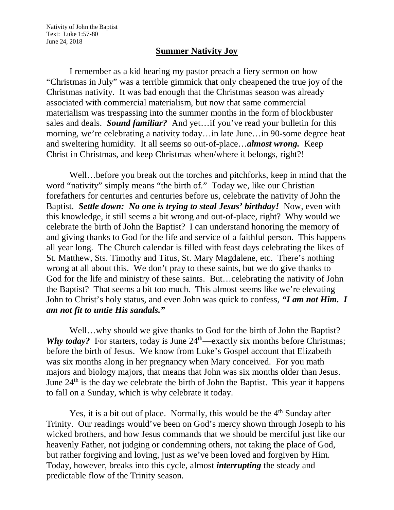Nativity of John the Baptist Text: Luke 1:57-80 June 24, 2018

## **Summer Nativity Joy**

I remember as a kid hearing my pastor preach a fiery sermon on how "Christmas in July" was a terrible gimmick that only cheapened the true joy of the Christmas nativity. It was bad enough that the Christmas season was already associated with commercial materialism, but now that same commercial materialism was trespassing into the summer months in the form of blockbuster sales and deals. *Sound familiar?* And yet…if you've read your bulletin for this morning, we're celebrating a nativity today…in late June…in 90-some degree heat and sweltering humidity. It all seems so out-of-place…*almost wrong.* Keep Christ in Christmas, and keep Christmas when/where it belongs, right?!

Well…before you break out the torches and pitchforks, keep in mind that the word "nativity" simply means "the birth of." Today we, like our Christian forefathers for centuries and centuries before us, celebrate the nativity of John the Baptist. *Settle down: No one is trying to steal Jesus' birthday!* Now, even with this knowledge, it still seems a bit wrong and out-of-place, right? Why would we celebrate the birth of John the Baptist? I can understand honoring the memory of and giving thanks to God for the life and service of a faithful person. This happens all year long. The Church calendar is filled with feast days celebrating the likes of St. Matthew, Sts. Timothy and Titus, St. Mary Magdalene, etc. There's nothing wrong at all about this. We don't pray to these saints, but we do give thanks to God for the life and ministry of these saints. But…celebrating the nativity of John the Baptist? That seems a bit too much. This almost seems like we're elevating John to Christ's holy status, and even John was quick to confess, *"I am not Him. I am not fit to untie His sandals."*

Well…why should we give thanks to God for the birth of John the Baptist? *Why today?* For starters, today is June 24<sup>th</sup>—exactly six months before Christmas; before the birth of Jesus. We know from Luke's Gospel account that Elizabeth was six months along in her pregnancy when Mary conceived. For you math majors and biology majors, that means that John was six months older than Jesus. June  $24<sup>th</sup>$  is the day we celebrate the birth of John the Baptist. This year it happens to fall on a Sunday, which is why celebrate it today.

Yes, it is a bit out of place. Normally, this would be the 4<sup>th</sup> Sunday after Trinity. Our readings would've been on God's mercy shown through Joseph to his wicked brothers, and how Jesus commands that we should be merciful just like our heavenly Father, not judging or condemning others, not taking the place of God, but rather forgiving and loving, just as we've been loved and forgiven by Him. Today, however, breaks into this cycle, almost *interrupting* the steady and predictable flow of the Trinity season.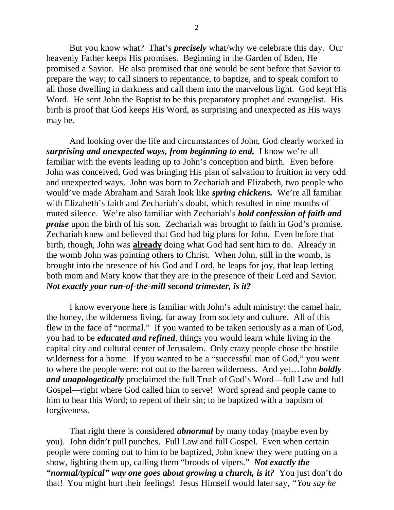But you know what? That's *precisely* what/why we celebrate this day. Our heavenly Father keeps His promises. Beginning in the Garden of Eden, He promised a Savior. He also promised that one would be sent before that Savior to prepare the way; to call sinners to repentance, to baptize, and to speak comfort to all those dwelling in darkness and call them into the marvelous light. God kept His Word. He sent John the Baptist to be this preparatory prophet and evangelist. His birth is proof that God keeps His Word, as surprising and unexpected as His ways may be.

And looking over the life and circumstances of John, God clearly worked in *surprising and unexpected ways, from beginning to end.* I know we're all familiar with the events leading up to John's conception and birth. Even before John was conceived, God was bringing His plan of salvation to fruition in very odd and unexpected ways. John was born to Zechariah and Elizabeth, two people who would've made Abraham and Sarah look like *spring chickens.* We're all familiar with Elizabeth's faith and Zechariah's doubt, which resulted in nine months of muted silence. We're also familiar with Zechariah's *bold confession of faith and praise* upon the birth of his son. Zechariah was brought to faith in God's promise. Zechariah knew and believed that God had big plans for John. Even before that birth, though, John was **already** doing what God had sent him to do. Already in the womb John was pointing others to Christ. When John, still in the womb, is brought into the presence of his God and Lord, he leaps for joy, that leap letting both mom and Mary know that they are in the presence of their Lord and Savior. *Not exactly your run-of-the-mill second trimester, is it?* 

I know everyone here is familiar with John's adult ministry: the camel hair, the honey, the wilderness living, far away from society and culture. All of this flew in the face of "normal." If you wanted to be taken seriously as a man of God, you had to be *educated and refined*, things you would learn while living in the capital city and cultural center of Jerusalem. Only crazy people chose the hostile wilderness for a home. If you wanted to be a "successful man of God," you went to where the people were; not out to the barren wilderness. And yet…John *boldly and unapologetically* proclaimed the full Truth of God's Word—full Law and full Gospel—right where God called him to serve! Word spread and people came to him to hear this Word; to repent of their sin; to be baptized with a baptism of forgiveness.

That right there is considered *abnormal* by many today (maybe even by you). John didn't pull punches. Full Law and full Gospel. Even when certain people were coming out to him to be baptized, John knew they were putting on a show, lighting them up, calling them "broods of vipers." *Not exactly the "normal/typical" way one goes about growing a church, is it?* You just don't do that! You might hurt their feelings! Jesus Himself would later say, *"You say he*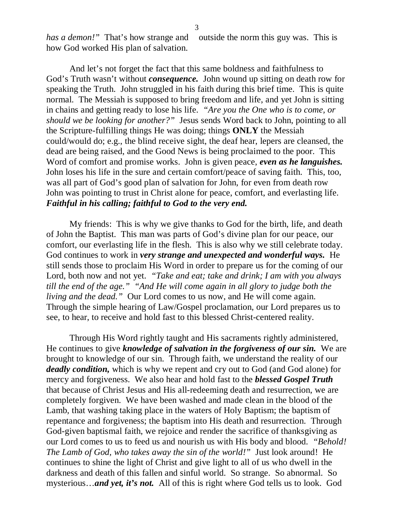3

*has a demon!*" That's how strange and outside the norm this guy was. This is how God worked His plan of salvation.

And let's not forget the fact that this same boldness and faithfulness to God's Truth wasn't without *consequence.* John wound up sitting on death row for speaking the Truth. John struggled in his faith during this brief time. This is quite normal. The Messiah is supposed to bring freedom and life, and yet John is sitting in chains and getting ready to lose his life. *"Are you the One who is to come, or should we be looking for another?"* Jesus sends Word back to John, pointing to all the Scripture-fulfilling things He was doing; things **ONLY** the Messiah could/would do; e.g., the blind receive sight, the deaf hear, lepers are cleansed, the dead are being raised, and the Good News is being proclaimed to the poor. This Word of comfort and promise works. John is given peace, *even as he languishes.* John loses his life in the sure and certain comfort/peace of saving faith. This, too, was all part of God's good plan of salvation for John, for even from death row John was pointing to trust in Christ alone for peace, comfort, and everlasting life. *Faithful in his calling; faithful to God to the very end.* 

My friends: This is why we give thanks to God for the birth, life, and death of John the Baptist. This man was parts of God's divine plan for our peace, our comfort, our everlasting life in the flesh. This is also why we still celebrate today. God continues to work in *very strange and unexpected and wonderful ways.* He still sends those to proclaim His Word in order to prepare us for the coming of our Lord, both now and not yet. *"Take and eat; take and drink; I am with you always till the end of the age." "And He will come again in all glory to judge both the living and the dead."* Our Lord comes to us now, and He will come again. Through the simple hearing of Law/Gospel proclamation, our Lord prepares us to see, to hear, to receive and hold fast to this blessed Christ-centered reality.

Through His Word rightly taught and His sacraments rightly administered, He continues to give *knowledge of salvation in the forgiveness of our sin.* We are brought to knowledge of our sin. Through faith, we understand the reality of our *deadly condition,* which is why we repent and cry out to God (and God alone) for mercy and forgiveness. We also hear and hold fast to the *blessed Gospel Truth* that because of Christ Jesus and His all-redeeming death and resurrection, we are completely forgiven. We have been washed and made clean in the blood of the Lamb, that washing taking place in the waters of Holy Baptism; the baptism of repentance and forgiveness; the baptism into His death and resurrection. Through God-given baptismal faith, we rejoice and render the sacrifice of thanksgiving as our Lord comes to us to feed us and nourish us with His body and blood. *"Behold! The Lamb of God, who takes away the sin of the world!"* Just look around! He continues to shine the light of Christ and give light to all of us who dwell in the darkness and death of this fallen and sinful world. So strange. So abnormal. So mysterious…*and yet, it's not.* All of this is right where God tells us to look. God